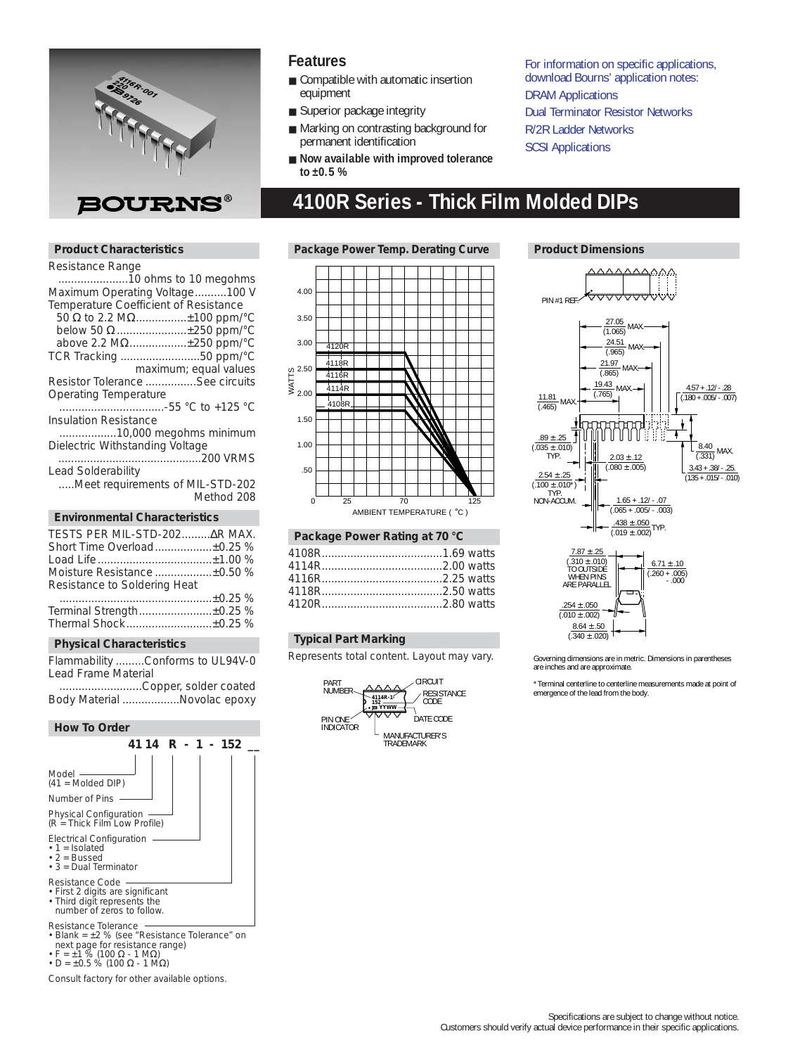

### **Product Characteristics**

### Resistance Range

| mosistanov nango                      |
|---------------------------------------|
|                                       |
| Maximum Operating Voltage100 V        |
| Temperature Coefficient of Resistance |
| 50 Ω to 2.2 MΩ±100 ppm/°C             |
| below 50 Ω ±250 ppm/°C                |
| above 2.2 MΩ±250 ppm/°C               |
| TCR Tracking 50 ppm/°C                |
| maximum; equal values                 |
| Resistor Tolerance See circuits       |
| Operating Temperature                 |
|                                       |
| <b>Insulation Resistance</b>          |
| 10,000 megohms minimum                |
| Dielectric Withstanding Voltage       |
|                                       |
| Lead Solderability                    |
| Meet requirements of MIL-STD-202      |
| Method 208                            |
|                                       |
| <b>Environmental Characteristics</b>  |
| TESTS PER MIL-STD-202 AR MAX.         |
| Short Time Overload±0.25 %            |
|                                       |
| Moisture Resistance ±0.50 %           |
| Resistance to Soldering Heat          |
|                                       |
|                                       |

| Terminal Strength±0.25 % |  |
|--------------------------|--|
| Thermal Shock±0.25 %     |  |

### **Physical Characteristics**

Flammability .........Conforms to UL94V-0 Lead Frame Material

..........................Copper, solder coated Body Material ..................Novolac epoxy

### **How To Order**



- F = ±1 % (100 Ω 1 MΩ) D = ±0.5 % (100 Ω 1 MΩ)
- 
- Consult factory for other available options.

### **Features**

- Compatible with automatic insertion equipment
- Superior package integrity
- Marking on contrasting background for permanent identification
- **Now available with improved tolerance to ±0.5 %**

For information on specific applications, download Bourns' application notes: [DRAM Applications](http://www.bourns.com/pdfs/dram.pdf) [Dual Terminator Resistor Networks](http://www.bourns.com/pdfs/dualterm.pdf) [R/2R Ladder Networks](http://www.bourns.com/pdfs/r2r.pdf) **[SCSI Applications](http://www.bourns.com/pdfs/scsi.pdf)** 

# **4100R Series - Thick Film Molded DIPs**

### Package Power Temp. Derating Curve **Product Dimensions**



### **Package Power Rating at 70 °C**

### **Typical Part Marking**

Represents total content. Layout may vary.





Governing dimensions are in metric. Dimensions in parentheses are inches and are approximate.

\*Terminal centerline to centerline measurements made at point of emergence of the lead from the body.